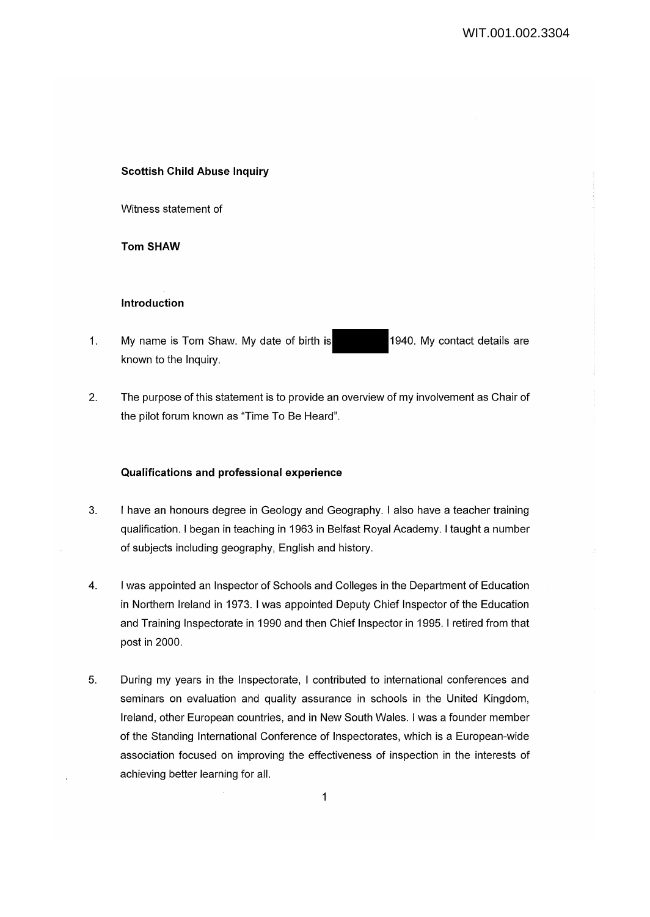## **Scottish Child Abuse Inquiry**

Witness statement of

**Tom SHAW** 

#### **Introduction**

- 1. My name is Tom Shaw. My date of birth is 1940. My contact details are known to the Inquiry.
- 2. The purpose of this statement is to provide an overview of my involvement as Chair of the pilot forum known as "Time To Be Heard".

## **Qualifications and professional experience**

- 3. I have an honours degree in Geology and Geography. I also have a teacher training qualification. I began in teaching in 1963 in Belfast Royal Academy. I taught a number of subjects including geography, English and history.
- 4. I was appointed an Inspector of Schools and Colleges in the Department of Education in Northern Ireland in 1973. I was appointed Deputy Chief Inspector of the Education and Training Inspectorate in 1990 and then Chief Inspector in 1995. I retired from that post in 2000.
- 5. During my years in the Inspectorate, I contributed to international conferences and seminars on evaluation and quality assurance in schools in the United Kingdom, Ireland, other European countries, and in New South Wales. I was a founder member of the Standing International Conference of Inspectorates, which is a European-wide association focused on improving the effectiveness of inspection in the interests of achieving better learning for all.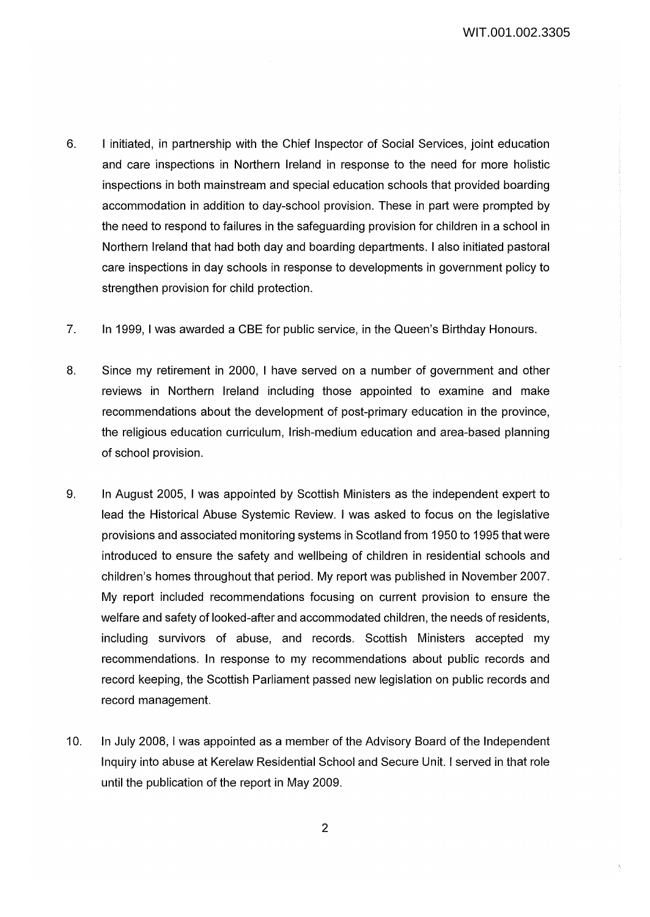- 6. I initiated, in partnership with the Chief Inspector of Social Services, joint education and care inspections in Northern Ireland in response to the need for more holistic inspections in both mainstream and special education schools that provided boarding accommodation in addition to day-school provision. These in part were prompted by the need to respond to failures in the safeguarding provision for children in a school in Northern Ireland that had both day and boarding departments. I also initiated pastoral care inspections in day schools in response to developments in government policy to strengthen provision for child protection.
- 7. In 1999, I was awarded a CBE for public service, in the Queen's Birthday Honours.
- 8. Since my retirement in 2000, I have served on a number of government and other reviews in Northern Ireland including those appointed to examine and make recommendations about the development of post-primary education in the province, the religious education curriculum, Irish-medium education and area-based planning of school provision.
- 9. In August 2005, I was appointed by Scottish Ministers as the independent expert to lead the Historical Abuse Systemic Review. I was asked to focus on the legislative provisions and associated monitoring systems in Scotland from 1950 to 1995 that were introduced to ensure the safety and wellbeing of children in residential schools and children's homes throughout that period. My report was published in November 2007. My report included recommendations focusing on current provision to ensure the welfare and safety of looked-after and accommodated children, the needs of residents, including survivors of abuse, and records. Scottish Ministers accepted my recommendations. In response to my recommendations about public records and record keeping, the Scottish Parliament passed new legislation on public records and record management.
- 10. In July 2008, I was appointed as a member of the Advisory Board of the Independent Inquiry into abuse at Kerelaw Residential School and Secure Unit. I served in that role until the publication of the report in May 2009.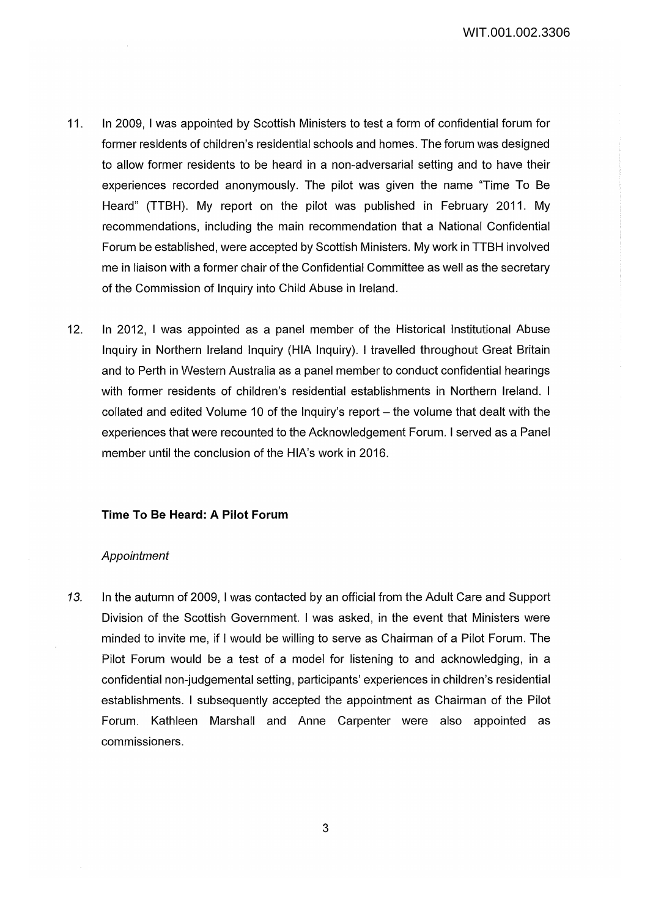- 11. In 2009, I was appointed by Scottish Ministers to test a form of confidential forum for former residents of children's residential schools and homes. The forum was designed to allow former residents to be heard in a non-adversarial setting and to have their experiences recorded anonymously. The pilot was given the name "Time To Be Heard" (TTBH). My report on the pilot was published in February 2011. My recommendations, including the main recommendation that a National Confidential Forum be established, were accepted by Scottish Ministers. My work in TTBH involved me in liaison with a former chair of the Confidential Committee as well as the secretary of the Commission of Inquiry into Child Abuse in Ireland.
- 12. In 2012, I was appointed as a panel member of the Historical Institutional Abuse Inquiry in Northern Ireland Inquiry (HIA Inquiry). I travelled throughout Great Britain and to Perth in Western Australia as a panel member to conduct confidential hearings with former residents of children's residential establishments in Northern Ireland. I  $collated$  and edited Volume 10 of the Inquiry's report  $-$  the volume that dealt with the experiences that were recounted to the Acknowledgement Forum. I served as a Panel member until the conclusion of the HIA's work in 2016.

## **Time To Be Heard: A Pilot Forum**

#### Appointment

13. In the autumn of 2009, I was contacted by an official from the Adult Care and Support Division of the Scottish Government. I was asked, in the event that Ministers were minded to invite me, if I would be willing to serve as Chairman of a Pilot Forum. The Pilot Forum would be a test of a model for listening to and acknowledging, in a confidential non~udgemental setting, participants' experiences in children's residential establishments. I subsequently accepted the appointment as Chairman of the Pilot Forum. Kathleen Marshall and Anne Carpenter were also appointed as commissioners.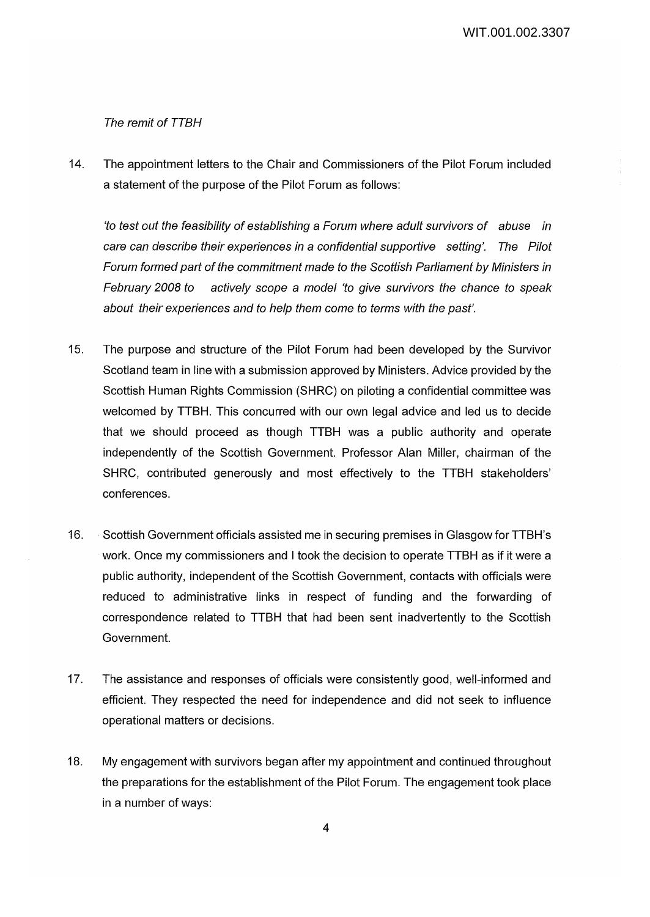#### The remit of TTBH

14. The appointment letters to the Chair and Commissioners of the Pilot Forum included a statement of the purpose of the Pilot Forum as follows:

'to test out the feasibility of establishing a Forum where adult sutvivors of abuse in care can describe their experiences in a confidential supportive setting'. The Pilot Forum formed part of the commitment made to the Scottish Parliament by Ministers in February 2008 to actively scope a model 'to give sutvivors the chance to speak about their experiences and to help them come to terms with the past'.

- 15. The purpose and structure of the Pilot Forum had been developed by the Survivor Scotland team in line with a submission approved by Ministers. Advice provided by the Scottish Human Rights Commission (SHRC) on piloting a confidential committee was welcomed by TTBH. This concurred with our own legal advice and led us to decide that we should proceed as though TTBH was a public authority and operate independently of the Scottish Government. Professor Alan Miller, chairman of the SHRC, contributed generously and most effectively to the TTBH stakeholders' conferences.
- 16. · Scottish Government officials assisted me in securing premises in Glasgow for TTBH's work. Once my commissioners and I took the decision to operate TTBH as if it were a public authority, independent of the Scottish Government, contacts with officials were reduced to administrative links in respect of funding and the forwarding of correspondence related to TTBH that had been sent inadvertently to the Scottish Government.
- 17. The assistance and responses of officials were consistently good, well-informed and efficient. They respected the need for independence and did not seek to influence operational matters or decisions.
- 18. My engagement with survivors began after my appointment and continued throughout the preparations for the establishment of the Pilot Forum. The engagement took place in a number of ways: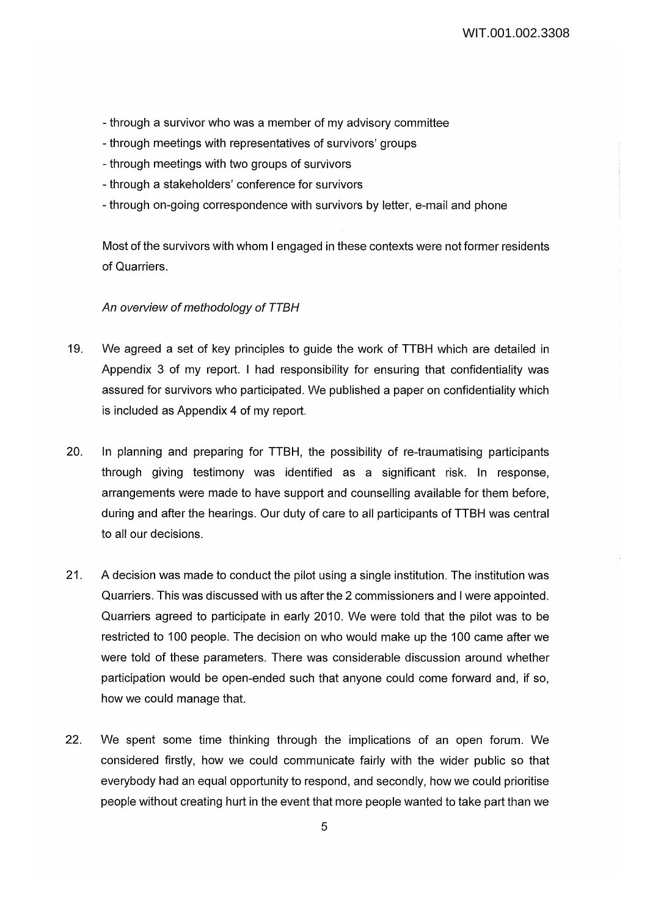- through a survivor who was a member of my advisory committee
- through meetings with representatives of survivors' groups
- through meetings with two groups of survivors
- through a stakeholders' conference for survivors
- through on-going correspondence with survivors by letter, e-mail and phone

Most of the survivors with whom I engaged in these contexts were not former residents of Quarriers.

# An overview of methodology of TTBH

- 19. We agreed a set of key principles to guide the work of TTBH which are detailed in Appendix 3 of my report. I had responsibility for ensuring that confidentiality was assured for survivors who participated. We published a paper on confidentiality which is included as Appendix 4 of my report.
- 20. In planning and preparing for TTBH, the possibility of re-traumatising participants through giving testimony was identified as a significant risk. In response, arrangements were made to have support and counselling available for them before, during and after the hearings. Our duty of care to all participants of TTBH was central to all our decisions.
- 21. A decision was made to conduct the pilot using a single institution. The institution was Quarriers. This was discussed with us after the 2 commissioners and I were appointed. Quarriers agreed to participate in early 2010. We were told that the pilot was to be restricted to 100 people. The decision on who would make up the 100 came after we were told of these parameters. There was considerable discussion around whether participation would be open-ended such that anyone could come forward and, if so, how we could manage that.
- 22. We spent some time thinking through the implications of an open forum. We considered firstly, how we could communicate fairly with the wider public so that everybody had an equal opportunity to respond, and secondly, how we could prioritise people without creating hurt in the event that more people wanted to take part than we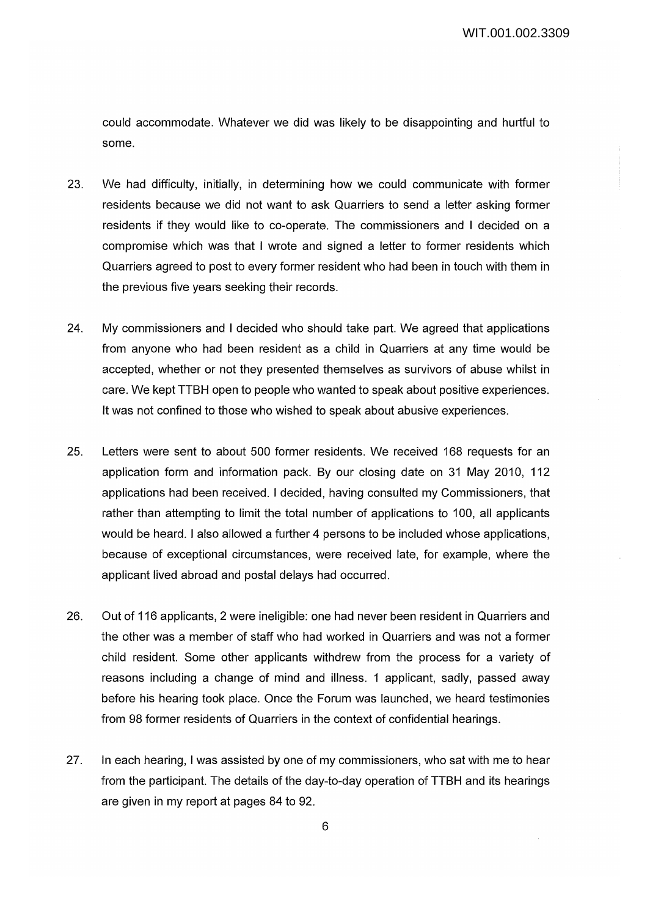could accommodate. Whatever we did was likely to be disappointing and hurtful to some.

- 23. We had difficulty, initially, in determining how we could communicate with former residents because we did not want to ask Quarriers to send a letter asking former residents if they would like to co-operate. The commissioners and I decided on a compromise which was that I wrote and signed a letter to former residents which Quarriers agreed to post to every former resident who had been in touch with them in the previous five years seeking their records.
- 24. My commissioners and I decided who should take part. We agreed that applications from anyone who had been resident as a child in Quarriers at any time would be accepted, whether or not they presented themselves as survivors of abuse whilst in care. We kept TTBH open to people who wanted to speak about positive experiences. It was not confined to those who wished to speak about abusive experiences.
- 25. Letters were sent to about 500 former residents. We received 168 requests for an application form and information pack. By our closing date on 31 May 2010, 112 applications had been received. I decided, having consulted my Commissioners, that rather than attempting to limit the total number of applications to 100, all applicants would be heard. I also allowed a further 4 persons to be included whose applications, because of exceptional circumstances, were received late, for example, where the applicant lived abroad and postal delays had occurred.
- 26. Out of 116 applicants, 2 were ineligible: one had never been resident in Quarriers and the other was a member of staff who had worked in Quarriers and was not a former child resident. Some other applicants withdrew from the process for a variety of reasons including a change of mind and illness. 1 applicant, sadly, passed away before his hearing took place. Once the Forum was launched, we heard testimonies from 98 former residents of Quarriers in the context of confidential hearings.
- 27. In each hearing, I was assisted by one of my commissioners, who sat with me to hear from the participant. The details of the day-to-day operation of TTBH and its hearings are given in my report at pages 84 to 92.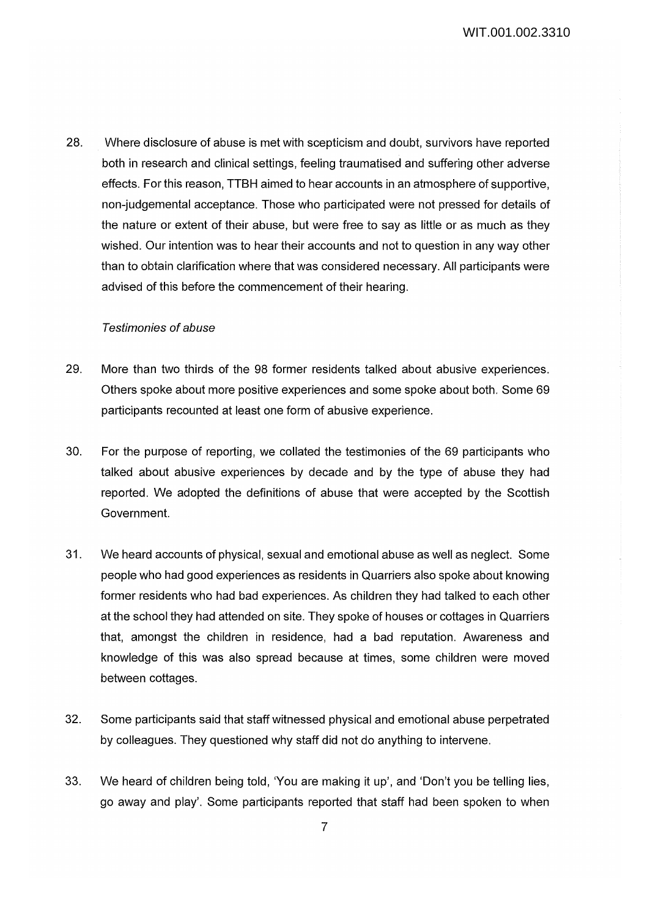28. Where disclosure of abuse is met with scepticism and doubt, survivors have reported both in research and clinical settings, feeling traumatised and suffering other adverse effects. For this reason, TTBH aimed to hear accounts in an atmosphere of supportive, non-judgemental acceptance. Those who participated were not pressed for details of the nature or extent of their abuse, but were free to say as little or as much as they wished. Our intention was to hear their accounts and not to question in any way other than to obtain clarification where that was considered necessary. All participants were advised of this before the commencement of their hearing.

# Testimonies of abuse

- 29. More than two thirds of the 98 former residents talked about abusive experiences. Others spoke about more positive experiences and some spoke about both. Some 69 participants recounted at least one form of abusive experience.
- 30. For the purpose of reporting, we collated the testimonies of the 69 participants who talked about abusive experiences by decade and by the type of abuse they had reported. We adopted the definitions of abuse that were accepted by the Scottish Government.
- 31. We heard accounts of physical, sexual and emotional abuse as well as neglect. Some people who had good experiences as residents in Quarriers also spoke about knowing former residents who had bad experiences. As children they had talked to each other at the school they had attended on site. They spoke of houses or cottages in Quarriers that, amongst the children in residence, had a bad reputation. Awareness and knowledge of this was also spread because at times, some children were moved between cottages.
- 32. Some participants said that staff witnessed physical and emotional abuse perpetrated by colleagues. They questioned why staff did not do anything to intervene.
- 33. We heard of children being told, 'You are making it up', and 'Don't you be telling lies, go away and play'. Some participants reported that staff had been spoken to when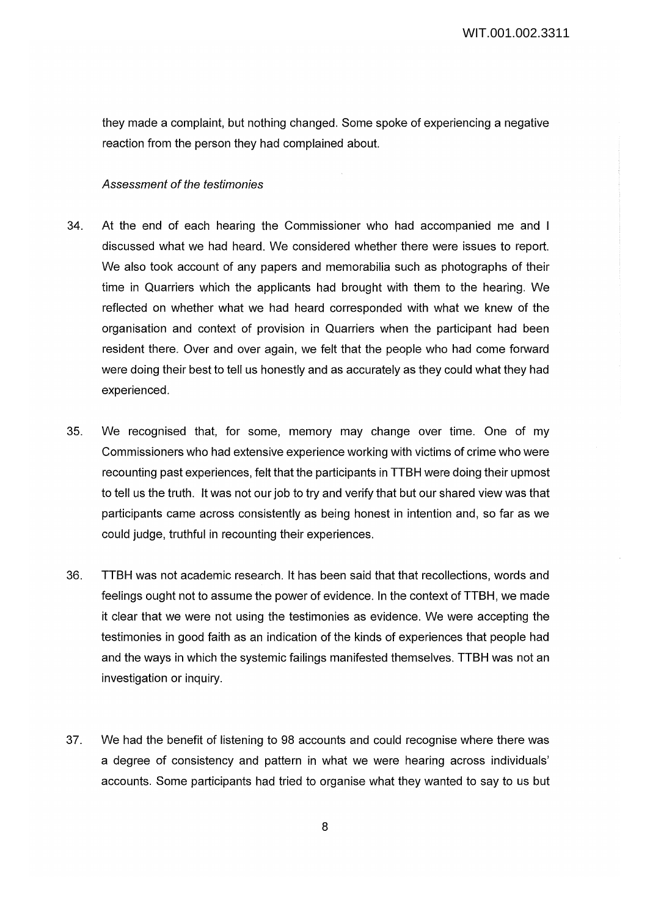they made a complaint, but nothing changed. Some spoke of experiencing a negative reaction from the person they had complained about.

#### Assessment of the testimonies

- 34. At the end of each hearing the Commissioner who had accompanied me and I discussed what we had heard. We considered whether there were issues to report. We also took account of any papers and memorabilia such as photographs of their time in Quarriers which the applicants had brought with them to the hearing. We reflected on whether what we had heard corresponded with what we knew of the organisation and context of provision in Quarriers when the participant had been resident there. Over and over again, we felt that the people who had come forward were doing their best to tell us honestly and as accurately as they could what they had experienced.
- 35. We recognised that, for some, memory may change over time. One of my Commissioners who had extensive experience working with victims of crime who were recounting past experiences, felt that the participants in TTBH were doing their upmost to tell us the truth. It was not our job to try and verify that but our shared view was that participants came across consistently as being honest in intention and, so far as we could judge, truthful in recounting their experiences.
- 36. TTBH was not academic research. It has been said that that recollections, words and feelings ought not to assume the power of evidence. In the context of TTBH, we made it clear that we were not using the testimonies as evidence. We were accepting the testimonies in good faith as an indication of the kinds of experiences that people had and the ways in which the systemic failings manifested themselves. TTBH was not an investigation or inquiry.
- 37. We had the benefit of listening to 98 accounts and could recognise where there was a degree of consistency and pattern in what we were hearing across individuals' accounts. Some participants had tried to organise what they wanted to say to us but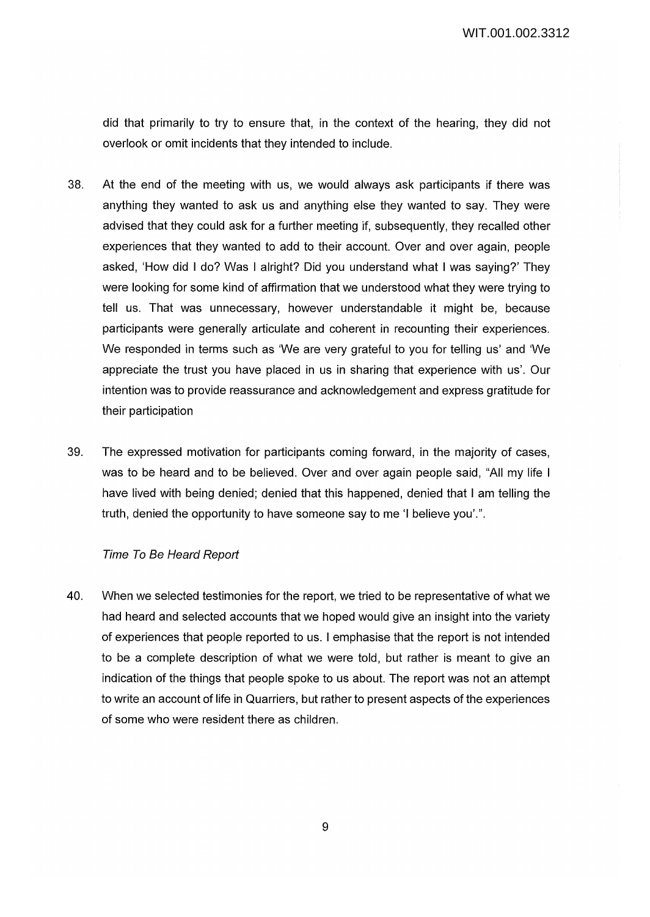did that primarily to try to ensure that, in the context of the hearing, they did not overlook or omit incidents that they intended to include.

- 38. At the end of the meeting with us, we would always ask participants if there was anything they wanted to ask us and anything else they wanted to say. They were advised that they could ask for a further meeting if, subsequently, they recalled other experiences that they wanted to add to their account. Over and over again, people asked, 'How did I do? Was I alright? Did you understand what I was saying?' They were looking for some kind of affirmation that we understood what they were trying to tell us. That was unnecessary, however understandable it might be, because participants were generally articulate and coherent in recounting their experiences. We responded in terms such as 'We are very grateful to you for telling us' and 'We appreciate the trust you have placed in us in sharing that experience with us'. Our intention was to provide reassurance and acknowledgement and express gratitude for their participation
- 39. The expressed motivation for participants coming forward, in the majority of cases, was to be heard and to be believed. Over and over again people said, "All my life I have lived with being denied; denied that this happened, denied that I am telling the truth, denied the opportunity to have someone say to me 'I believe you'.".

# Time To Be Heard Report

40. When we selected testimonies for the report, we tried to be representative of what we had heard and selected accounts that we hoped would give an insight into the variety of experiences that people reported to us. I emphasise that the report is not intended to be a complete description of what we were told, but rather is meant to give an indication of the things that people spoke to us about. The report was not an attempt to write an account of life in Quarriers, but rather to present aspects of the experiences of some who were resident there as children.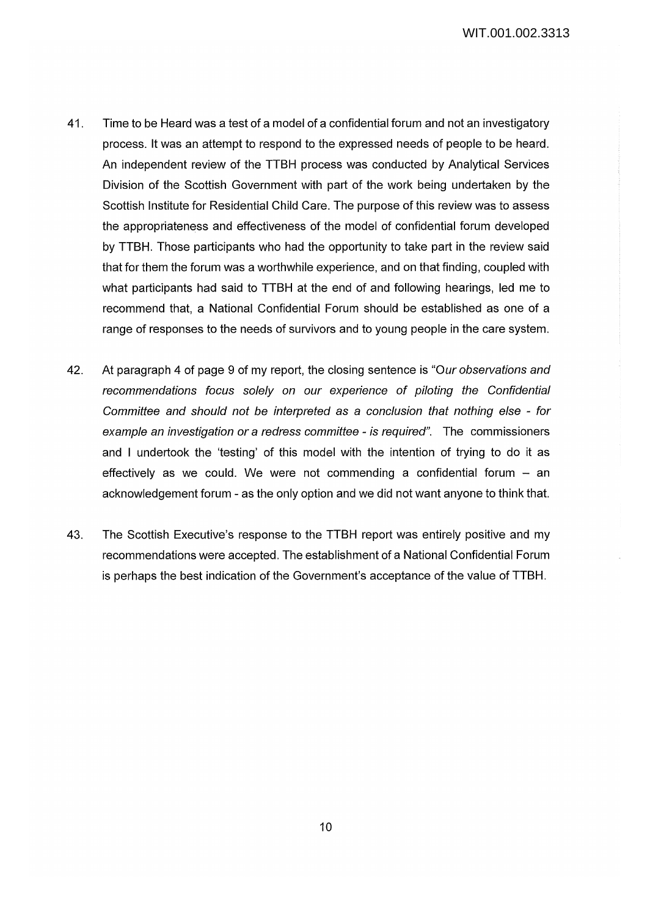- 41. Time to be Heard was a test of a model of a confidential forum and not an investigatory process. It was an attempt to respond to the expressed needs of people to be heard. An independent review of the TTBH process was conducted by Analytical Services Division of the Scottish Government with part of the work being undertaken by the Scottish Institute for Residential Child Care. The purpose of this review was to assess the appropriateness and effectiveness of the model of confidential forum developed by TTBH. Those participants who had the opportunity to take part in the review said that for them the forum was a worthwhile experience, and on that finding, coupled with what participants had said to TTBH at the end of and following hearings, led me to recommend that, a National Confidential Forum should be established as one of a range of responses to the needs of survivors and to young people in the care system.
- 42. At paragraph 4 of page 9 of my report, the closing sentence is "Our observations and recommendations focus solely on our experience of piloting the Confidential Committee and should not be interpreted as a conclusion that nothing else - for example an investigation or a redress committee - is required". The commissioners and I undertook the 'testing' of this model with the intention of trying to do it as effectively as we could. We were not commending a confidential forum  $-$  an acknowledgement forum - as the only option and we did not want anyone to think that.
- 43. The Scottish Executive's response to the TTBH report was entirely positive and my recommendations were accepted. The establishment of a National Confidential Forum is perhaps the best indication of the Government's acceptance of the value of TTBH.